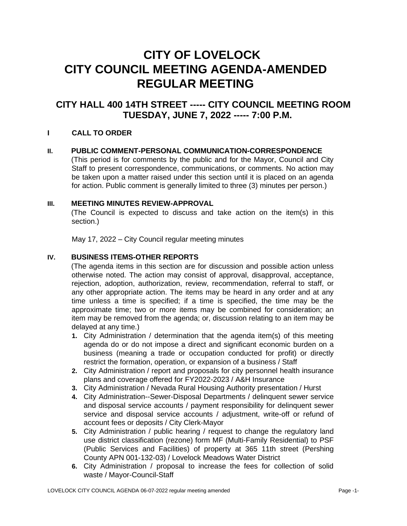# **CITY OF LOVELOCK CITY COUNCIL MEETING AGENDA-AMENDED REGULAR MEETING**

## **CITY HALL 400 14TH STREET ----- CITY COUNCIL MEETING ROOM TUESDAY, JUNE 7, 2022 ----- 7:00 P.M.**

## **I CALL TO ORDER**

#### **II. PUBLIC COMMENT-PERSONAL COMMUNICATION-CORRESPONDENCE**

(This period is for comments by the public and for the Mayor, Council and City Staff to present correspondence, communications, or comments. No action may be taken upon a matter raised under this section until it is placed on an agenda for action. Public comment is generally limited to three (3) minutes per person.)

#### **III. MEETING MINUTES REVIEW-APPROVAL**

(The Council is expected to discuss and take action on the item(s) in this section.)

May 17, 2022 – City Council regular meeting minutes

#### **IV. BUSINESS ITEMS-OTHER REPORTS**

(The agenda items in this section are for discussion and possible action unless otherwise noted. The action may consist of approval, disapproval, acceptance, rejection, adoption, authorization, review, recommendation, referral to staff, or any other appropriate action. The items may be heard in any order and at any time unless a time is specified; if a time is specified, the time may be the approximate time; two or more items may be combined for consideration; an item may be removed from the agenda; or, discussion relating to an item may be delayed at any time.)

- **1.** City Administration / determination that the agenda item(s) of this meeting agenda do or do not impose a direct and significant economic burden on a business (meaning a trade or occupation conducted for profit) or directly restrict the formation, operation, or expansion of a business / Staff
- **2.** City Administration / report and proposals for city personnel health insurance plans and coverage offered for FY2022-2023 / A&H Insurance
- **3.** City Administration / Nevada Rural Housing Authority presentation / Hurst
- **4.** City Administration--Sewer-Disposal Departments / delinquent sewer service and disposal service accounts / payment responsibility for delinquent sewer service and disposal service accounts / adjustment, write-off or refund of account fees or deposits / City Clerk-Mayor
- **5.** City Administration / public hearing / request to change the regulatory land use district classification (rezone) form MF (Multi-Family Residential) to PSF (Public Services and Facilities) of property at 365 11th street (Pershing County APN 001-132-03) / Lovelock Meadows Water District
- **6.** City Administration / proposal to increase the fees for collection of solid waste / Mayor-Council-Staff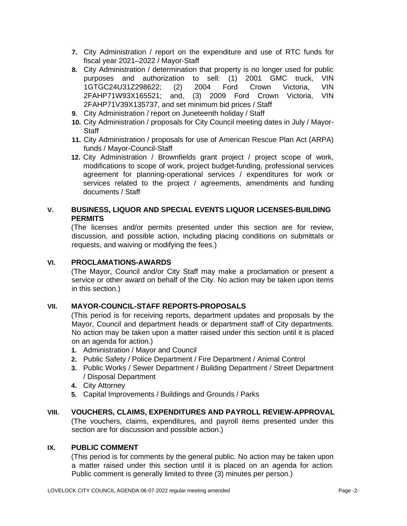- **7.** City Administration / report on the expenditure and use of RTC funds for fiscal year 2021–2022 / Mayor-Staff
- **8.** City Administration / determination that property is no longer used for public purposes and authorization to sell: (1) 2001 GMC truck, VIN 1GTGC24U31Z298622; (2) 2004 Ford Crown Victoria, VIN 2FAHP71W93X165521; and, (3) 2009 Ford Crown Victoria, VIN 2FAHP71V39X135737, and set minimum bid prices / Staff
- **9.** City Administration / report on Juneteenth holiday / Staff
- **10.** City Administration / proposals for City Council meeting dates in July / Mayor-**Staff**
- **11.** City Administration / proposals for use of American Rescue Plan Act (ARPA) funds / Mayor-Council-Staff
- **12.** City Administration / Brownfields grant project / project scope of work, modifications to scope of work, project budget-funding, professional services agreement for planning-operational services / expenditures for work or services related to the project / agreements, amendments and funding documents / Staff

## **V. BUSINESS, LIQUOR AND SPECIAL EVENTS LIQUOR LICENSES-BUILDING PERMITS**

(The licenses and/or permits presented under this section are for review, discussion, and possible action, including placing conditions on submittals or requests, and waiving or modifying the fees.)

#### **VI. PROCLAMATIONS-AWARDS**

(The Mayor, Council and/or City Staff may make a proclamation or present a service or other award on behalf of the City. No action may be taken upon items in this section.)

## **VII. MAYOR-COUNCIL-STAFF REPORTS-PROPOSALS**

(This period is for receiving reports, department updates and proposals by the Mayor, Council and department heads or department staff of City departments. No action may be taken upon a matter raised under this section until it is placed on an agenda for action.)

- **1.** Administration / Mayor and Council
- **2.** Public Safety / Police Department / Fire Department / Animal Control
- **3.** Public Works / Sewer Department / Building Department / Street Department / Disposal Department
- **4.** City Attorney
- **5.** Capital Improvements / Buildings and Grounds / Parks

## **VIII. VOUCHERS, CLAIMS, EXPENDITURES AND PAYROLL REVIEW-APPROVAL**

(The vouchers, claims, expenditures, and payroll items presented under this section are for discussion and possible action.)

#### **IX. PUBLIC COMMENT**

(This period is for comments by the general public. No action may be taken upon a matter raised under this section until it is placed on an agenda for action. Public comment is generally limited to three (3) minutes per person.)